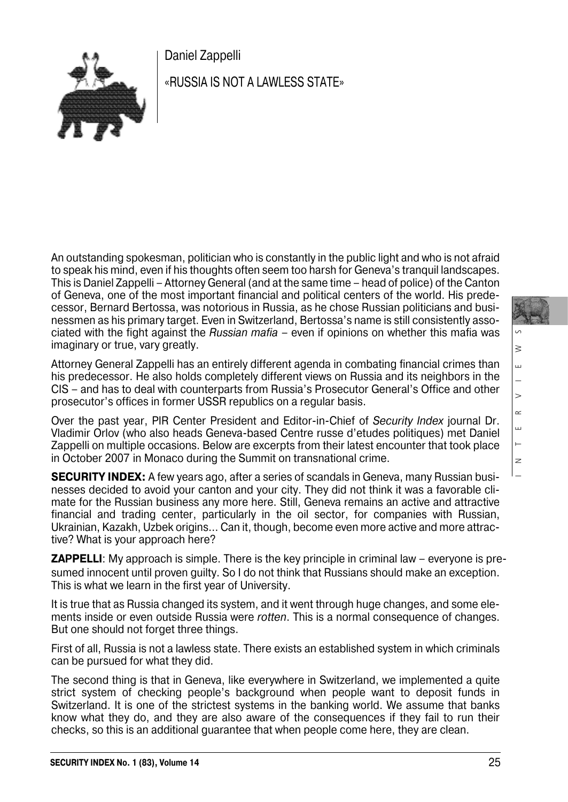Daniel Zappelli

«RUSSIA IS NOT A LAWLESS STATE»



An outstanding spokesman, politician who is constantly in the public light and who is not afraid to speak his mind, even if his thoughts often seem too harsh for Geneva's tranquil landscapes. This is Daniel Zappelli – Attorney General (and at the same time – head of police) of the Canton of Geneva, one of the most important financial and political centers of the world. His prede cessor, Bernard Bertossa, was notorious in Russia, as he chose Russian politicians and busi nessmen as his primary target. Even in Switzerland, Bertossa's name is still consistently associated with the fight against the *Russian mafia* – even if opinions on whether this mafia was imaginary or true, vary greatly.

Attorney General Zappelli has an entirely different agenda in combating financial crimes than his predecessor. He also holds completely different views on Russia and its neighbors in the CIS – and has to deal with counterparts from Russia's Prosecutor General's Office and other prosecutor's offices in former USSR republics on a regular basis.

Over the past year, PIR Center President and Editor-in-Chief of *Security Index* journal Dr. Vladimir Orlov (who also heads Geneva-based Centre russe d'etudes politiques) met Daniel Zappelli on multiple occasions. Below are excerpts from their latest encounter that took place in October 2007 in Monaco during the Summit on transnational crime.

**SECURITY INDEX:** A few years ago, after a series of scandals in Geneva, many Russian busi nesses decided to avoid your canton and your city. They did not think it was a favorable cli mate for the Russian business any more here. Still, Geneva remains an active and attractive financial and trading center, particularly in the oil sector, for companies with Russian, Ukrainian, Kazakh, Uzbek origins… Can it, though, become even more active and more attrac tive? What is your approach here?

**ZAPPELLI**: My approach is simple. There is the key principle in criminal law – everyone is pre sumed innocent until proven guilty. So I do not think that Russians should make an exception. This is what we learn in the first year of University.

It is true that as Russia changed its system, and it went through huge changes, and some ele ments inside or even outside Russia were *rotten*. This is a normal consequence of changes. But one should not forget three things.

First of all, Russia is not a lawless state. There exists an established system in which criminals can be pursued for what they did.

The second thing is that in Geneva, like everywhere in Switzerland, we implemented a quite strict system of checking people's background when people want to deposit funds in Switzerland. It is one of the strictest systems in the banking world. We assume that banks know what they do, and they are also aware of the consequences if they fail to run their checks, so this is an additional guarantee that when people come here, they are clean.

 $\geq$  $\overline{11}$ 

 $\geq$  $\sim$ Ш  $\vdash$  $\overline{z}$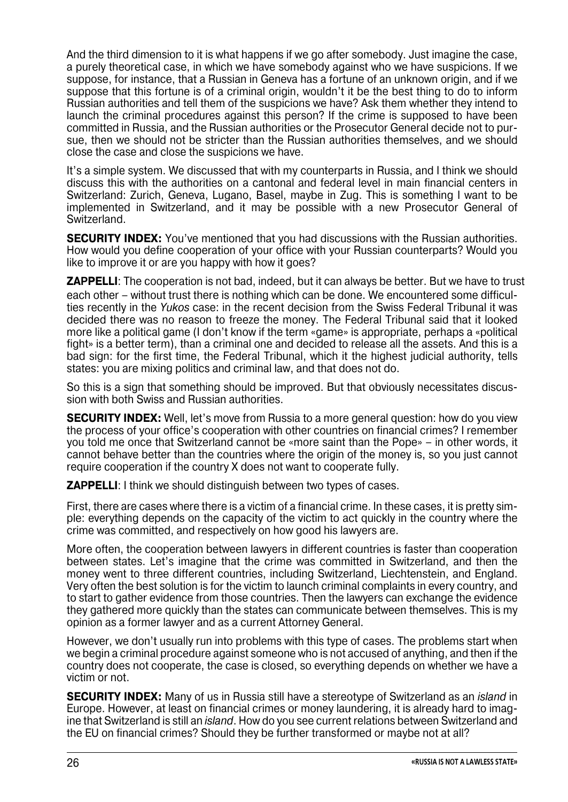And the third dimension to it is what happens if we go after somebody. Just imagine the case, a purely theoretical case, in which we have somebody against who we have suspicions. If we suppose, for instance, that a Russian in Geneva has a fortune of an unknown origin, and if we suppose that this fortune is of a criminal origin, wouldn't it be the best thing to do to inform Russian authorities and tell them of the suspicions we have? Ask them whether they intend to launch the criminal procedures against this person? If the crime is supposed to have been committed in Russia, and the Russian authorities or the Prosecutor General decide not to pur sue, then we should not be stricter than the Russian authorities themselves, and we should close the case and close the suspicions we have.

It's a simple system. We discussed that with my counterparts in Russia, and I think we should discuss this with the authorities on a cantonal and federal level in main financial centers in Switzerland: Zurich, Geneva, Lugano, Basel, maybe in Zug. This is something I want to be implemented in Switzerland, and it may be possible with a new Prosecutor General of **Switzerland** 

**SECURITY INDEX:** You've mentioned that you had discussions with the Russian authorities. How would you define cooperation of your office with your Russian counterparts? Would you like to improve it or are you happy with how it goes?

**ZAPPELLI**: The cooperation is not bad, indeed, but it can always be better. But we have to trust each other – without trust there is nothing which can be done. We encountered some difficulties recently in the *Yukos* case: in the recent decision from the Swiss Federal Tribunal it was decided there was no reason to freeze the money. The Federal Tribunal said that it looked more like a political game (I don't know if the term «game» is appropriate, perhaps a «political fight» is a better term), than a criminal one and decided to release all the assets. And this is a bad sign: for the first time, the Federal Tribunal, which it the highest judicial authority, tells states: you are mixing politics and criminal law, and that does not do.

So this is a sign that something should be improved. But that obviously necessitates discus sion with both Swiss and Russian authorities.

**SECURITY INDEX:** Well, let's move from Russia to a more general question: how do you view the process of your office's cooperation with other countries on financial crimes? I remember you told me once that Switzerland cannot be «more saint than the Pope» – in other words, it cannot behave better than the countries where the origin of the money is, so you just cannot require cooperation if the country X does not want to cooperate fully.

**ZAPPELLI**: I think we should distinguish between two types of cases.

First, there are cases where there is a victim of a financial crime. In these cases, it is pretty simple: everything depends on the capacity of the victim to act quickly in the country where the crime was committed, and respectively on how good his lawyers are.

More often, the cooperation between lawyers in different countries is faster than cooperation between states. Let's imagine that the crime was committed in Switzerland, and then the money went to three different countries, including Switzerland, Liechtenstein, and England. Very often the best solution is for the victim to launch criminal complaints in every country, and to start to gather evidence from those countries. Then the lawyers can exchange the evidence they gathered more quickly than the states can communicate between themselves. This is my opinion as a former lawyer and as a current Attorney General.

However, we don't usually run into problems with this type of cases. The problems start when we begin a criminal procedure against someone who is not accused of anything, and then if the country does not cooperate, the case is closed, so everything depends on whether we have a victim or not.

**SECURITY INDEX:** Many of us in Russia still have a stereotype of Switzerland as an *island* in Europe. However, at least on financial crimes or money laundering, it is already hard to imag ine that Switzerland is still an *island*. How do you see current relations between Switzerland and the EU on financial crimes? Should they be further transformed or maybe not at all?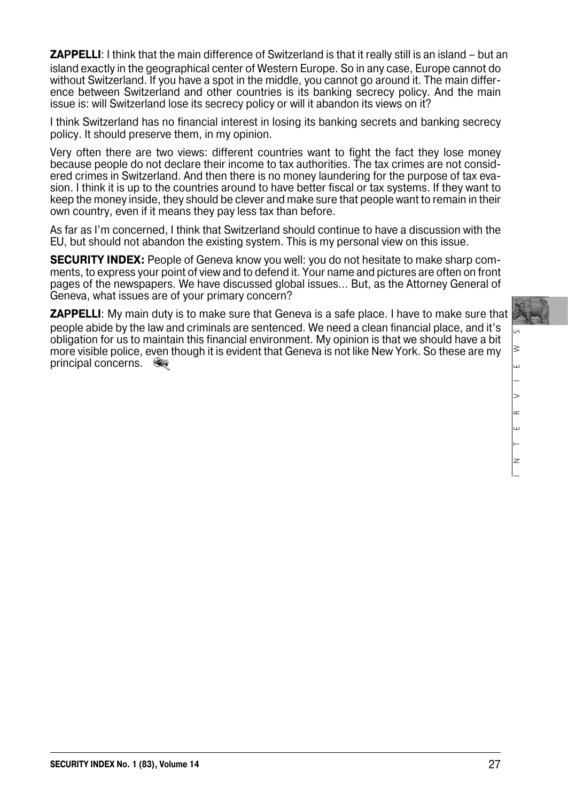**ZAPPELLI**: I think that the main difference of Switzerland is that it really still is an island – but an island exactly in the geographical center of Western Europe. So in any case, Europe cannot do without Switzerland. If you have a spot in the middle, you cannot go around it. The main difference between Switzerland and other countries is its banking secrecy policy. And the main issue is: will Switzerland lose its secrecy policy or will it abandon its views on it?

I think Switzerland has no financial interest in losing its banking secrets and banking secrecy policy. It should preserve them, in my opinion.

Very often there are two views: different countries want to fight the fact they lose money because people do not declare their income to tax authorities. The tax crimes are not consid ered crimes in Switzerland. And then there is no money laundering for the purpose of tax eva sion. I think it is up to the countries around to have better fiscal or tax systems. If they want to keep the money inside, they should be clever and make sure that people want to remain in their own country, even if it means they pay less tax than before.

As far as I'm concerned, I think that Switzerland should continue to have a discussion with the EU, but should not abandon the existing system. This is my personal view on this issue.

**SECURITY INDEX:** People of Geneva know you well: you do not hesitate to make sharp com ments, to express your point of view and to defend it. Your name and pictures are often on front pages of the newspapers. We have discussed global issues… But, as the Attorney General of Geneva, what issues are of your primary concern?

**ZAPPELLI**: My main duty is to make sure that Geneva is a safe place. I have to make sure that people abide by the law and criminals are sentenced. We need a clean financial place, and it's obligation for us to maintain this financial environment. My opinion is that we should have a bit more visible police, even though it is evident that Geneva is not like New York. So these are my principal concerns.



INTERVIEWS ≷  $\sim$